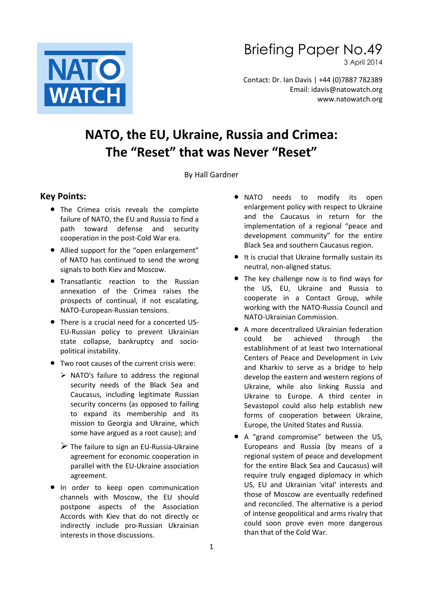

Briefing Paper No.49

3 April 2014

Contact: Dr. Ian Davis | +44 (0)7887 782389 Email: idavis@natowatch.org www.natowatch.org

# **NATO, the EU, Ukraine, Russia and Crimea: The "Reset" that was Never "Reset"**

By Hall Gardner

#### **Key Points:**

- The Crimea crisis reveals the complete failure of NATO, the EU and Russia to find a path toward defense and security cooperation in the post-Cold War era.
- Allied support for the "open enlargement" of NATO has continued to send the wrong signals to both Kiev and Moscow.
- **•** Transatlantic reaction to the Russian annexation of the Crimea raises the prospects of continual, if not escalating, NATO-European-Russian tensions.
- There is a crucial need for a concerted US-EU-Russian policy to prevent Ukrainian state collapse, bankruptcy and sociopolitical instability.
- Two root causes of the current crisis were:
	- $\triangleright$  NATO's failure to address the regional security needs of the Black Sea and Caucasus, including legitimate Russian security concerns (as opposed to failing to expand its membership and its mission to Georgia and Ukraine, which some have argued as a root cause); and
	- $\triangleright$  The failure to sign an EU-Russia-Ukraine agreement for economic cooperation in parallel with the EU-Ukraine association agreement.
- **•** In order to keep open communication channels with Moscow, the EU should postpone aspects of the Association Accords with Kiev that do not directly or indirectly include pro-Russian Ukrainian interests in those discussions.
- NATO needs to modify its open enlargement policy with respect to Ukraine and the Caucasus in return for the implementation of a regional "peace and development community" for the entire Black Sea and southern Caucasus region.
- It is crucial that Ukraine formally sustain its neutral, non-aligned status.
- The key challenge now is to find ways for the US, EU, Ukraine and Russia to cooperate in a Contact Group, while working with the NATO-Russia Council and NATO-Ukrainian Commission.
- A more decentralized Ukrainian federation could be achieved through the establishment of at least two International Centers of Peace and Development in Lviv and Kharkiv to serve as a bridge to help develop the eastern and western regions of Ukraine, while also linking Russia and Ukraine to Europe. A third center in Sevastopol could also help establish new forms of cooperation between Ukraine, Europe, the United States and Russia.
- A "grand compromise" between the US, Europeans and Russia (by means of a regional system of peace and development for the entire Black Sea and Caucasus) will require truly engaged diplomacy in which US, EU and Ukrainian 'vital' interests and those of Moscow are eventually redefined and reconciled. The alternative is a period of intense geopolitical and arms rivalry that could soon prove even more dangerous than that of the Cold War.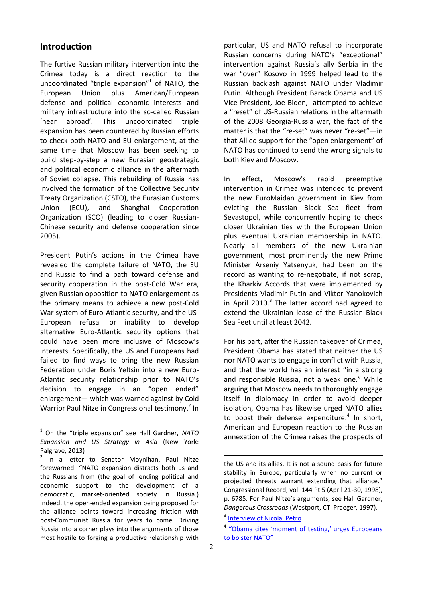#### **Introduction**

The furtive Russian military intervention into the Crimea today is a direct reaction to the uncoordinated "triple expansion"<sup>1</sup> of NATO, the European Union plus American/European defense and political economic interests and military infrastructure into the so-called Russian 'near abroad'. This uncoordinated triple expansion has been countered by Russian efforts to check both NATO and EU enlargement, at the same time that Moscow has been seeking to build step-by-step a new Eurasian geostrategic and political economic alliance in the aftermath of Soviet collapse. This rebuilding of Russia has involved the formation of the Collective Security Treaty Organization (CSTO), the Eurasian Customs Union (ECU), and Shanghai Cooperation Organization (SCO) (leading to closer Russian-Chinese security and defense cooperation since 2005).

President Putin's actions in the Crimea have revealed the complete failure of NATO, the EU and Russia to find a path toward defense and security cooperation in the post-Cold War era, given Russian opposition to NATO enlargement as the primary means to achieve a new post-Cold War system of Euro-Atlantic security, and the US-European refusal or inability to develop alternative Euro-Atlantic security options that could have been more inclusive of Moscow's interests. Specifically, the US and Europeans had failed to find ways to bring the new Russian Federation under Boris Yeltsin into a new Euro-Atlantic security relationship prior to NATO's decision to engage in an "open ended" enlargement— which was warned against by Cold Warrior Paul Nitze in Congressional testimony.<sup>2</sup> In

1

particular, US and NATO refusal to incorporate Russian concerns during NATO's "exceptional" intervention against Russia's ally Serbia in the war "over" Kosovo in 1999 helped lead to the Russian backlash against NATO under Vladimir Putin. Although President Barack Obama and US Vice President, Joe Biden, attempted to achieve a "reset" of US-Russian relations in the aftermath of the 2008 Georgia-Russia war, the fact of the matter is that the "re-set" was never "re-set"—in that Allied support for the "open enlargement" of NATO has continued to send the wrong signals to both Kiev and Moscow.

In effect, Moscow's rapid preemptive intervention in Crimea was intended to prevent the new EuroMaidan government in Kiev from evicting the Russian Black Sea fleet from Sevastopol, while concurrently hoping to check closer Ukrainian ties with the European Union plus eventual Ukrainian membership in NATO. Nearly all members of the new Ukrainian government, most prominently the new Prime Minister Arseniy Yatsenyuk, had been on the record as wanting to re-negotiate, if not scrap, the Kharkiv Accords that were implemented by Presidents Vladimir Putin and Viktor Yanokovich in April 2010.<sup>3</sup> The latter accord had agreed to extend the Ukrainian lease of the Russian Black Sea Feet until at least 2042.

For his part, after the Russian takeover of Crimea, President Obama has stated that neither the US nor NATO wants to engage in conflict with Russia, and that the world has an interest "in a strong and responsible Russia, not a weak one." While arguing that Moscow needs to thoroughly engage itself in diplomacy in order to avoid deeper isolation, Obama has likewise urged NATO allies to boost their defense expenditure. $4$  In short, American and European reaction to the Russian annexation of the Crimea raises the prospects of

<sup>1</sup> On the "triple expansion" see Hall Gardner, *NATO Expansion and US Strategy in Asia* (New York: Palgrave, 2013)

<sup>&</sup>lt;sup>2</sup> In a letter to Senator Moynihan, Paul Nitze forewarned: "NATO expansion distracts both us and the Russians from (the goal of lending political and economic support to the development of a democratic, market-oriented society in Russia.) Indeed, the open-ended expansion being proposed for the alliance points toward increasing friction with post-Communist Russia for years to come. Driving Russia into a corner plays into the arguments of those most hostile to forging a productive relationship with

the US and its allies. It is not a sound basis for future stability in Europe, particularly when no current or projected threats warrant extending that alliance." Congressional Record, vol. 144 Pt 5 (April 21-30, 1998), p. 6785. For Paul Nitze's arguments, see Hall Gardner, *Dangerous Crossroads* (Westport, CT: Praeger, 1997).

<sup>&</sup>lt;sup>3</sup> [Interview of Nicolai Petro](http://www.carnegiecouncil.org/studio/multimedia/20140304/index.html)

**<sup>4</sup> "**[Obama cites 'moment of testing,' urges Europeans](http://www.washingtonpost.com/world/europe/obama-urges-europeans-to-bolster-nato-to-help-deter-an-expansionist-russia/2014/03/26/9353797c-b4f7-11e3-8cb6-284052554d74_story.html?wpisrc=al_comboPN_p)  [to bolster NATO"](http://www.washingtonpost.com/world/europe/obama-urges-europeans-to-bolster-nato-to-help-deter-an-expansionist-russia/2014/03/26/9353797c-b4f7-11e3-8cb6-284052554d74_story.html?wpisrc=al_comboPN_p)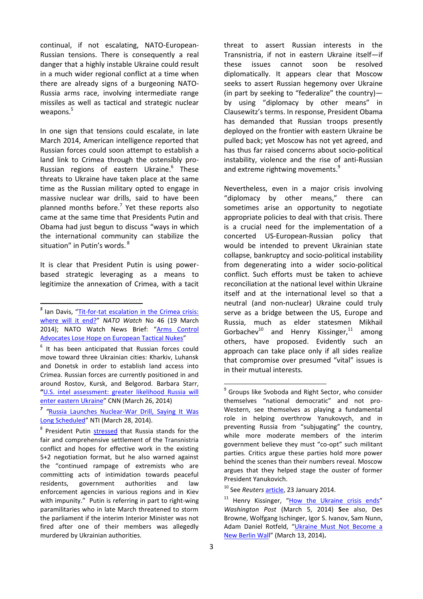continual, if not escalating, NATO-European-Russian tensions. There is consequently a real danger that a highly instable Ukraine could result in a much wider regional conflict at a time when there are already signs of a burgeoning NATO-Russia arms race, involving intermediate range missiles as well as tactical and strategic nuclear weapons.<sup>5</sup>

In one sign that tensions could escalate, in late March 2014, American intelligence reported that Russian forces could soon attempt to establish a land link to Crimea through the ostensibly pro-Russian regions of eastern Ukraine.<sup>6</sup> These threats to Ukraine have taken place at the same time as the Russian military opted to engage in massive nuclear war drills, said to have been planned months before.<sup>7</sup> Yet these reports also came at the same time that Presidents Putin and Obama had just begun to discuss "ways in which the international community can stabilize the situation" in Putin's words. <sup>8</sup>

It is clear that President Putin is using powerbased strategic leveraging as a means to legitimize the annexation of Crimea, with a tacit threat to assert Russian interests in the Transnistria, if not in eastern Ukraine itself—if these issues cannot soon be resolved diplomatically. It appears clear that Moscow seeks to assert Russian hegemony over Ukraine (in part by seeking to "federalize" the country) by using "diplomacy by other means" in Clausewitz's terms. In response, President Obama has demanded that Russian troops presently deployed on the frontier with eastern Ukraine be pulled back; yet Moscow has not yet agreed, and has thus far raised concerns about socio-political instability, violence and the rise of anti-Russian and extreme rightwing movements.<sup>9</sup>

Nevertheless, even in a major crisis involving "diplomacy by other means," there can sometimes arise an opportunity to negotiate appropriate policies to deal with that crisis. There is a crucial need for the implementation of a concerted US-European-Russian policy that would be intended to prevent Ukrainian state collapse, bankruptcy and socio-political instability from degenerating into a wider socio-political conflict. Such efforts must be taken to achieve reconciliation at the national level within Ukraine itself and at the international level so that a neutral (and non-nuclear) Ukraine could truly serve as a bridge between the US, Europe and Russia, much as elder statesmen Mikhail Gorbachev $^{10}$  and Henry Kissinger, $^{11}$  among others, have proposed. Evidently such an approach can take place only if all sides realize that compromise over presumed "vital" issues is in their mutual interests.

 *5* Ian Davis, "[Tit-for-tat escalation in the Crimea crisis:](http://www.natowatch.org/sites/default/files/briefing_paper_no.46_the_ukraine_crisis.pdf)  [where will it end?](http://www.natowatch.org/sites/default/files/briefing_paper_no.46_the_ukraine_crisis.pdf)" *NATO Watch* No 46 (19 March 2014); NATO Watch News Brief: "[Arms Control](https://dub121.mail.live.com/default.aspx?id=64855#tid=cmbUGoEBi04xGYwgAiZMIK7A2&fid=flinbox)  [Advocates Lose Hope on European Tactical Nukes](https://dub121.mail.live.com/default.aspx?id=64855#tid=cmbUGoEBi04xGYwgAiZMIK7A2&fid=flinbox)"

 $6$  It has been anticipated that Russian forces could move toward three Ukrainian cities: Kharkiv, Luhansk and Donetsk in order to establish land access into Crimea. Russian forces are currently positioned in and around Rostov, Kursk, and Belgorod. Barbara Starr, **"**[U.S. intel assessment: greater likelihood Russia will](http://security.blogs.cnn.com/2014/03/26/u-s-intel-assessement-greater-likelihood-russia-will-enter-eastern-ukraine/)  [enter eastern Ukraine](http://security.blogs.cnn.com/2014/03/26/u-s-intel-assessement-greater-likelihood-russia-will-enter-eastern-ukraine/)" CNN (March 26, 2014)

*<sup>7</sup> "*[Russia Launches Nuclear-War Drill, Saying It Was](http://www.nti.org/gsn/article/russia-nuclear-force-drill-saying-long-scheduled/?mgs1=b102fhYG7A)  [Long Scheduled](http://www.nti.org/gsn/article/russia-nuclear-force-drill-saying-long-scheduled/?mgs1=b102fhYG7A)" NTI (March 28, 2014).

<sup>&</sup>lt;sup>8</sup> President Putin [stressed](http://eng.kremlin.ru/news/6936;%20http:/www.washingtonpost.com/politics/putin-calls-obama-to-discuss-diplomatic-resolution-to-ukraine-crisis-white-house-says/2014/03/28/9b896ce8-b6bc-11e3-b84e-897d3d12b816_story.html?wpisrc=al_comboPEN_p) that Russia stands for the fair and comprehensive settlement of the Transnistria conflict and hopes for effective work in the existing 5+2 negotiation format, but he also warned against the "continued rampage of extremists who are committing acts of intimidation towards peaceful residents, government authorities and law enforcement agencies in various regions and in Kiev with impunity." Putin is referring in part to right-wing paramilitaries who in late March threatened to storm the parliament if the interim Interior Minister was not fired after one of their members was allegedly murdered by Ukrainian authorities.

<sup>&</sup>lt;sup>9</sup> Groups like Svoboda and Right Sector, who consider themselves "national democratic" and not pro-Western, see themselves as playing a fundamental role in helping overthrow Yanukovych, and in preventing Russia from "subjugating" the country, while more moderate members of the interim government believe they must "co-opt" such militant parties. Critics argue these parties hold more power behind the scenes than their numbers reveal. Moscow argues that they helped stage the ouster of former President Yanukovich.

<sup>10</sup> See *Reuters* [article,](http://www.reuters.com/article/2014/01/23/russia-ukraine-gorbachev-idUSL5N0KX1YP20140123) 23 January 2014.

Henry Kissinger, "[How the Ukraine crisis ends](http://www.washingtonpost.com/opinions/henry-kissinger-to-settle-the-ukraine-crisis-start-at-the-end/2014/03/05/46dad868-a496-11e3-8466-d34c451760b9_story.html)" *Washington Post* (March 5, 2014) **S**ee also, Des Browne, Wolfgang Ischinger[, Igor S. Ivanov,](http://www.nti.org/about/leadership-staff/igor-ivanov/) [Sam Nunn,](http://www.nti.org/about/leadership-staff/sam-nunn/) Adam Daniel Rotfeld, "[Ukraine Must Not Become a](http://www.nti.org/analysis/opinions/ukraine-must-not-become-new-berlin-wall/?mgs1=06cafhLLec)  [New Berlin Wal](http://www.nti.org/analysis/opinions/ukraine-must-not-become-new-berlin-wall/?mgs1=06cafhLLec)l" (March 13, 2014)**.**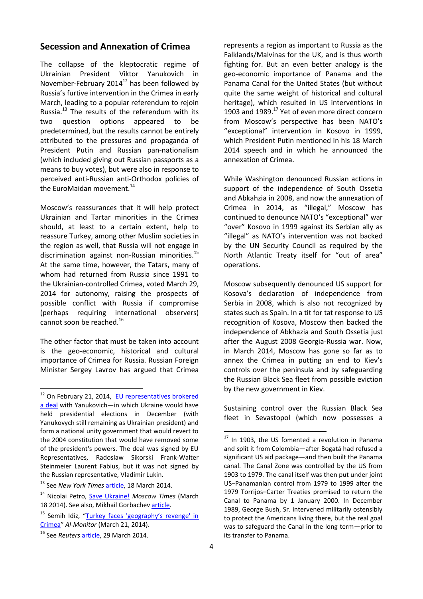#### **Secession and Annexation of Crimea**

The collapse of the kleptocratic regime of Ukrainian President Viktor Yanukovich in November-February 2014 $^{12}$  has been followed by Russia's furtive intervention in the Crimea in early March, leading to a popular referendum to rejoin Russia.<sup>13</sup> The results of the referendum with its two question options appeared to be predetermined, but the results cannot be entirely attributed to the pressures and propaganda of President Putin and Russian pan-nationalism (which included giving out Russian passports as a means to buy votes), but were also in response to perceived anti-Russian anti-Orthodox policies of the EuroMaidan movement.<sup>14</sup>

Moscow's reassurances that it will help protect Ukrainian and Tartar minorities in the Crimea should, at least to a certain extent, help to reassure Turkey, among other Muslim societies in the region as well, that Russia will not engage in discrimination against non-Russian minorities.<sup>15</sup> At the same time, however, the Tatars, many of whom had returned from Russia since 1991 to the Ukrainian-controlled Crimea, voted March 29, 2014 for autonomy, raising the prospects of possible conflict with Russia if compromise (perhaps requiring international observers) cannot soon be reached.<sup>16</sup>

The other factor that must be taken into account is the geo-economic, historical and cultural importance of Crimea for Russia. Russian Foreign Minister Sergey Lavrov has argued that Crimea

**.** 

represents a region as important to Russia as the Falklands/Malvinas for the UK, and is thus worth fighting for. But an even better analogy is the geo-economic importance of Panama and the Panama Canal for the United States (but without quite the same weight of historical and cultural heritage), which resulted in US interventions in 1903 and 1989.<sup>17</sup> Yet of even more direct concern from Moscow's perspective has been NATO's "exceptional" intervention in Kosovo in 1999, which President Putin mentioned in his 18 March 2014 speech and in which he announced the annexation of Crimea.

While Washington denounced Russian actions in support of the independence of South Ossetia and Abkahzia in 2008, and now the annexation of Crimea in 2014, as "illegal," Moscow has continued to denounce NATO's "exceptional" war "over" Kosovo in 1999 against its Serbian ally as "illegal" as NATO's intervention was not backed by the UN Security Council as required by the North Atlantic Treaty itself for "out of area" operations.

Moscow subsequently denounced US support for Kosova's declaration of independence from Serbia in 2008, which is also not recognized by states such as Spain. In a tit for tat response to US recognition of Kosova, Moscow then backed the independence of Abkhazia and South Ossetia just after the August 2008 Georgia-Russia war. Now, in March 2014, Moscow has gone so far as to annex the Crimea in putting an end to Kiev's controls over the peninsula and by safeguarding the Russian Black Sea fleet from possible eviction by the new government in Kiev.

Sustaining control over the Russian Black Sea fleet in Sevastopol (which now possesses a

<sup>&</sup>lt;sup>12</sup> On February 21, 2014, EU representatives brokered [a deal](http://www.auswaertiges-amt.de/cae/servlet/contentblob/671350/publicationFile/190051/140221-UKR_Erklaerung.pdf) with Yanukovich—in which Ukraine would have held presidential elections in December (with Yanukovych still remaining as Ukrainian president) and form a national unity government that would revert to the 2004 constitution that would have removed some of the president's powers. The deal was signed by EU Representatives, Radoslaw Sikorski Frank-Walter Steinmeier Laurent Fabius, but it was not signed by the Russian representative, Vladimir Lukin.

<sup>13</sup> See *New York Times* [article,](http://www.nytimes.com/2014/03/18/world/europe/us-imposes-new-sanctions-on-russian-officials.html?emc=edit_th_20140318&nl=todaysheadlines&nlid=32636370&_r=0) 18 March 2014.

<sup>14</sup> Nicolai Petro, [Save Ukraine!](http://www.themoscowtimes.com/opinion/article/save-ukraine/496444.html) *Moscow Times* (March 18 2014). See also, Mikhail Gorbachev [article.](http://www.themoscowtimes.com/news/article/gorbachev-says-outcome-of-crimea-referendum-corrected-historical-mistake/496386.html)

<sup>&</sup>lt;sup>15</sup> Semih Idiz, "Turkey faces 'geography's revenge' in [Crimea](http://www.al-monitor.com/pulse/originals/2014/03/turkey-crimea-policy-russia-strategy-tatars-geography-rights.html?utm_source=Al-Monitor+Newsletter+%5bEnglish%5d&utm_campaign=5082370a03-January_9_20141_8_2014&utm_medium=email&utm_term=0_28264b27a0-5082370)" *Al-Monitor* (March 21, 2014).

<sup>16</sup> See *Reuters* [article,](http://www.reuters.com/article/2014/03/29/us-ukraine-crisis-crimea-tatars-idUSBREA2S09320140329) 29 March 2014.

 $17$  In 1903, the US fomented a revolution in Panama and split it from Colombia—after Bogatá had refused a significant US aid package—and then built the Panama canal. The Canal Zone was controlled by the US from 1903 to 1979. The canal itself was then put under joint US–Panamanian control from 1979 to 1999 after the 1979 Torrijos–Carter Treaties promised to return the Canal to Panama by 1 January 2000. In December 1989, George Bush, Sr. intervened militarily ostensibly to protect the Americans living there, but the real goal was to safeguard the Canal in the long term—prior to its transfer to Panama.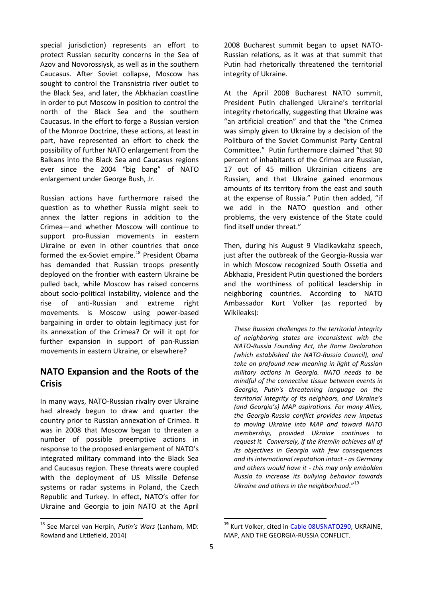special jurisdiction) represents an effort to protect Russian security concerns in the Sea of Azov and Novorossiysk, as well as in the southern Caucasus. After Soviet collapse, Moscow has sought to control the Transnistria river outlet to the Black Sea, and later, the Abkhazian coastline in order to put Moscow in position to control the north of the Black Sea and the southern Caucasus. In the effort to forge a Russian version of the Monroe Doctrine, these actions, at least in part, have represented an effort to check the possibility of further NATO enlargement from the Balkans into the Black Sea and Caucasus regions ever since the 2004 "big bang" of NATO enlargement under George Bush, Jr.

Russian actions have furthermore raised the question as to whether Russia might seek to annex the latter regions in addition to the Crimea—and whether Moscow will continue to support pro-Russian movements in eastern Ukraine or even in other countries that once formed the ex-Soviet empire.<sup>18</sup> President Obama has demanded that Russian troops presently deployed on the frontier with eastern Ukraine be pulled back, while Moscow has raised concerns about socio-political instability, violence and the rise of anti-Russian and extreme right movements. Is Moscow using power-based bargaining in order to obtain legitimacy just for its annexation of the Crimea? Or will it opt for further expansion in support of pan-Russian movements in eastern Ukraine, or elsewhere?

## **NATO Expansion and the Roots of the Crisis**

In many ways, NATO-Russian rivalry over Ukraine had already begun to draw and quarter the country prior to Russian annexation of Crimea. It was in 2008 that Moscow began to threaten a number of possible preemptive actions in response to the proposed enlargement of NATO's integrated military command into the Black Sea and Caucasus region. These threats were coupled with the deployment of US Missile Defense systems or radar systems in Poland, the Czech Republic and Turkey. In effect, NATO's offer for Ukraine and Georgia to join NATO at the April

<sup>18</sup> See Marcel van Herpin, *Putin's Wars* (Lanham, MD: Rowland and Littlefield, 2014)

**.** 

2008 Bucharest summit began to upset NATO-Russian relations, as it was at that summit that Putin had rhetorically threatened the territorial integrity of Ukraine.

At the April 2008 Bucharest NATO summit, President Putin challenged Ukraine's territorial integrity rhetorically, suggesting that Ukraine was "an artificial creation" and that the "the Crimea was simply given to Ukraine by a decision of the Politburo of the Soviet Communist Party Central Committee." Putin furthermore claimed "that 90 percent of inhabitants of the Crimea are Russian, 17 out of 45 million Ukrainian citizens are Russian, and that Ukraine gained enormous amounts of its territory from the east and south at the expense of Russia." Putin then added, "if we add in the NATO question and other problems, the very existence of the State could find itself under threat."

Then, during his August 9 Vladikavkahz speech, just after the outbreak of the Georgia-Russia war in which Moscow recognized South Ossetia and Abkhazia, President Putin questioned the borders and the worthiness of political leadership in neighboring countries. According to NATO Ambassador Kurt Volker (as reported by Wikileaks):

*These Russian challenges to the territorial integrity of neighboring states are inconsistent with the NATO-Russia Founding Act, the Rome Declaration (which established the NATO-Russia Council), and take on profound new meaning in light of Russian military actions in Georgia. NATO needs to be mindful of the connective tissue between events in Georgia, Putin's threatening language on the territorial integrity of its neighbors, and Ukraine's (and Georgia's) MAP aspirations. For many Allies, the Georgia-Russia conflict provides new impetus to moving Ukraine into MAP and toward NATO membership, provided Ukraine continues to request it. Conversely, if the Kremlin achieves all of its objectives in Georgia with few consequences and its international reputation intact - as Germany and others would have it - this may only embolden Russia to increase its bullying behavior towards Ukraine and others in the neighborhood*."<sup>19</sup>

<sup>&</sup>lt;sup>19</sup> Kurt Volker, cited in **Cable 08USNATO290**, UKRAINE, MAP, AND THE GEORGIA-RUSSIA CONFLICT.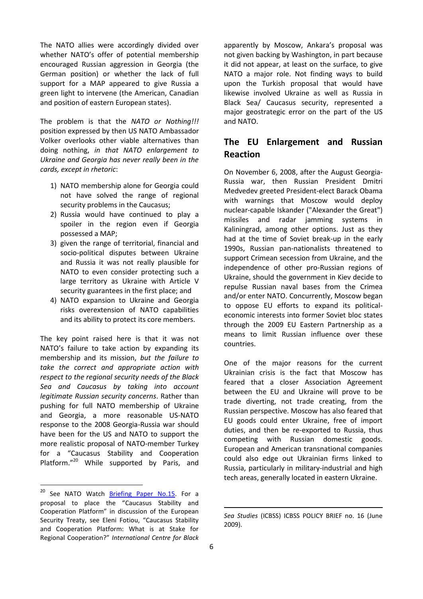The NATO allies were accordingly divided over whether NATO's offer of potential membership encouraged Russian aggression in Georgia (the German position) or whether the lack of full support for a MAP appeared to give Russia a green light to intervene (the American, Canadian and position of eastern European states).

The problem is that the *NATO or Nothing!!!* position expressed by then US NATO Ambassador Volker overlooks other viable alternatives than doing nothing, *in that NATO enlargement to Ukraine and Georgia has never really been in the cards, except in rhetoric*:

- 1) NATO membership alone for Georgia could not have solved the range of regional security problems in the Caucasus;
- 2) Russia would have continued to play a spoiler in the region even if Georgia possessed a MAP;
- 3) given the range of territorial, financial and socio-political disputes between Ukraine and Russia it was not really plausible for NATO to even consider protecting such a large territory as Ukraine with Article V security guarantees in the first place; and
- 4) NATO expansion to Ukraine and Georgia risks overextension of NATO capabilities and its ability to protect its core members.

The key point raised here is that it was not NATO's failure to take action by expanding its membership and its mission, *but the failure to take the correct and appropriate action with respect to the regional security needs of the Black Sea and Caucasus by taking into account legitimate Russian security concerns*. Rather than pushing for full NATO membership of Ukraine and Georgia, a more reasonable US-NATO response to the 2008 Georgia-Russia war should have been for the US and NATO to support the more realistic proposal of NATO-member Turkey for a "Caucasus Stability and Cooperation Platform."<sup>20</sup> While supported by Paris, and

1

apparently by Moscow, Ankara's proposal was not given backing by Washington, in part because it did not appear, at least on the surface, to give NATO a major role. Not finding ways to build upon the Turkish proposal that would have likewise involved Ukraine as well as Russia in Black Sea/ Caucasus security, represented a major geostrategic error on the part of the US and NATO.

## **The EU Enlargement and Russian Reaction**

On November 6, 2008, after the August Georgia-Russia war, then Russian President Dmitri Medvedev greeted President-elect Barack Obama with warnings that Moscow would deploy nuclear-capable Iskander ("Alexander the Great") missiles and radar jamming systems in Kaliningrad, among other options. Just as they had at the time of Soviet break-up in the early 1990s, Russian pan-nationalists threatened to support Crimean secession from Ukraine, and the independence of other pro-Russian regions of Ukraine, should the government in Kiev decide to repulse Russian naval bases from the Crimea and/or enter NATO. Concurrently, Moscow began to oppose EU efforts to expand its politicaleconomic interests into former Soviet bloc states through the 2009 EU Eastern Partnership as a means to limit Russian influence over these countries.

One of the major reasons for the current Ukrainian crisis is the fact that Moscow has feared that a closer Association Agreement between the EU and Ukraine will prove to be trade diverting, not trade creating, from the Russian perspective. Moscow has also feared that EU goods could enter Ukraine, free of import duties, and then be re-exported to Russia, thus competing with Russian domestic goods. European and American transnational companies could also edge out Ukrainian firms linked to Russia, particularly in military-industrial and high tech areas, generally located in eastern Ukraine.

<sup>&</sup>lt;sup>20</sup> See NATO Watch **Briefing Paper No.15**. For a proposal to place the "Caucasus Stability and Cooperation Platform" in discussion of the European Security Treaty, see Eleni Fotiou, "Caucasus Stability and Cooperation Platform: What is at Stake for Regional Cooperation?" *International Centre for Black* 

*Sea Studies* (ICBSS) ICBSS POLICY BRIEF no. 16 (June 2009).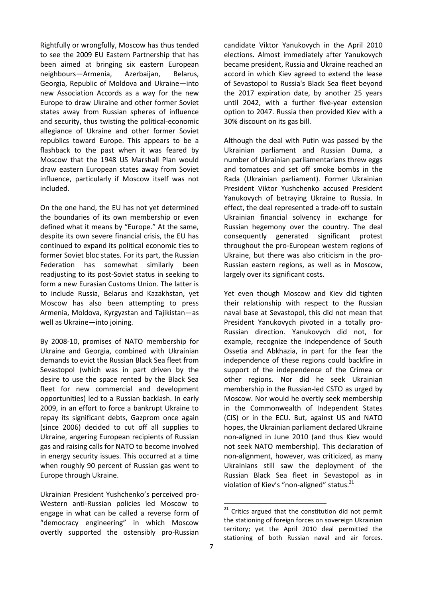Rightfully or wrongfully, Moscow has thus tended to see the 2009 EU Eastern Partnership that has been aimed at bringing six eastern European neighbours—Armenia, Azerbaijan, Belarus, Georgia, Republic of Moldova and Ukraine—into new Association Accords as a way for the new Europe to draw Ukraine and other former Soviet states away from Russian spheres of influence and security, thus twisting the political-economic allegiance of Ukraine and other former Soviet republics toward Europe. This appears to be a flashback to the past when it was feared by Moscow that the 1948 US Marshall Plan would draw eastern European states away from Soviet influence, particularly if Moscow itself was not included.

On the one hand, the EU has not yet determined the boundaries of its own membership or even defined what it means by "Europe." At the same, despite its own severe financial crisis, the EU has continued to expand its political economic ties to former Soviet bloc states. For its part, the Russian Federation has somewhat similarly been readjusting to its post-Soviet status in seeking to form a new Eurasian Customs Union. The latter is to include Russia, Belarus and Kazakhstan, yet Moscow has also been attempting to press Armenia, Moldova, Kyrgyzstan and Tajikistan—as well as Ukraine—into joining.

By 2008-10, promises of NATO membership for Ukraine and Georgia, combined with Ukrainian demands to evict the Russian Black Sea fleet from Sevastopol (which was in part driven by the desire to use the space rented by the Black Sea fleet for new commercial and development opportunities) led to a Russian backlash. In early 2009, in an effort to force a bankrupt Ukraine to repay its significant debts, Gazprom once again (since 2006) decided to cut off all supplies to Ukraine, angering European recipients of Russian gas and raising calls for NATO to become involved in energy security issues. This occurred at a time when roughly 90 percent of Russian gas went to Europe through Ukraine.

Ukrainian President Yushchenko's perceived pro-Western anti-Russian policies led Moscow to engage in what can be called a reverse form of "democracy engineering" in which Moscow overtly supported the ostensibly pro-Russian candidate Viktor Yanukovych in the April 2010 elections. Almost immediately after Yanukovych became president, Russia and Ukraine reached an accord in which Kiev agreed to extend the lease of Sevastopol to Russia's Black Sea fleet beyond the 2017 expiration date, by another 25 years until 2042, with a further five-year extension option to 2047. Russia then provided Kiev with a 30% discount on its gas bill.

Although the deal with Putin was passed by the Ukrainian parliament and Russian Duma, a number of Ukrainian parliamentarians threw eggs and tomatoes and set off smoke bombs in the Rada (Ukrainian parliament). Former Ukrainian President Viktor Yushchenko accused President Yanukovych of betraying Ukraine to Russia. In effect, the deal represented a trade-off to sustain Ukrainian financial solvency in exchange for Russian hegemony over the country. The deal consequently generated significant protest throughout the pro-European western regions of Ukraine, but there was also criticism in the pro-Russian eastern regions, as well as in Moscow, largely over its significant costs.

Yet even though Moscow and Kiev did tighten their relationship with respect to the Russian naval base at Sevastopol, this did not mean that President Yanukovych pivoted in a totally pro-Russian direction. Yanukovych did not, for example, recognize the independence of South Ossetia and Abkhazia, in part for the fear the independence of these regions could backfire in support of the independence of the Crimea or other regions. Nor did he seek Ukrainian membership in the Russian-led CSTO as urged by Moscow. Nor would he overtly seek membership in the Commonwealth of Independent States (CIS) or in the ECU. But, against US and NATO hopes, the Ukrainian parliament declared Ukraine non-aligned in June 2010 (and thus Kiev would not seek NATO membership). This declaration of non-alignment, however, was criticized, as many Ukrainians still saw the deployment of the Russian Black Sea fleet in Sevastopol as in violation of Kiev's "non-aligned" status.<sup>21</sup>

 $21$  Critics argued that the constitution did not permit the stationing of foreign forces on sovereign Ukrainian territory; yet the April 2010 deal permitted the stationing of both Russian naval and air forces.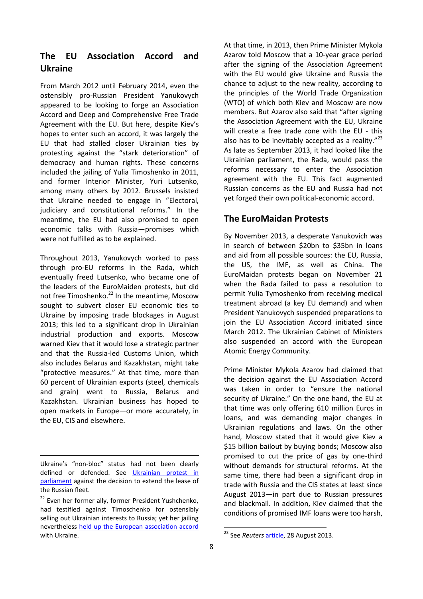## **The EU Association Accord and Ukraine**

From March 2012 until February 2014, even the ostensibly pro-Russian President Yanukovych appeared to be looking to forge an Association Accord and Deep and Comprehensive Free Trade Agreement with the EU. But here, despite Kiev's hopes to enter such an accord, it was largely the EU that had stalled closer Ukrainian ties by protesting against the "stark deterioration" of democracy and human rights. These concerns included the jailing of Yulia Timoshenko in 2011, and former Interior Minister, Yuri Lutsenko, among many others by 2012. Brussels insisted that Ukraine needed to engage in "Electoral, judiciary and constitutional reforms." In the meantime, the EU had also promised to open economic talks with Russia—promises which were not fulfilled as to be explained.

Throughout 2013, Yanukovych worked to pass through pro-EU reforms in the Rada, which eventually freed Lutsenko, who became one of the leaders of the EuroMaiden protests, but did not free Timoshenko.<sup>22</sup> In the meantime, Moscow sought to subvert closer EU economic ties to Ukraine by imposing trade blockages in August 2013; this led to a significant drop in Ukrainian industrial production and exports. Moscow warned Kiev that it would lose a strategic partner and that the Russia-led Customs Union, which also includes Belarus and Kazakhstan, might take "protective measures." At that time, more than 60 percent of Ukrainian exports (steel, chemicals and grain) went to Russia, Belarus and Kazakhstan. Ukrainian business has hoped to open markets in Europe—or more accurately, in the EU, CIS and elsewhere.

At that time, in 2013, then Prime Minister Mykola Azarov told Moscow that a 10-year grace period after the signing of the Association Agreement with the EU would give Ukraine and Russia the chance to adjust to the new reality, according to the principles of the World Trade Organization (WTO) of which both Kiev and Moscow are now members. But Azarov also said that "after signing the Association Agreement with the EU, Ukraine will create a free trade zone with the EU - this also has to be inevitably accepted as a reality. $^{23}$ As late as September 2013, it had looked like the Ukrainian parliament, the Rada, would pass the reforms necessary to enter the Association agreement with the EU. This fact augmented Russian concerns as the EU and Russia had not yet forged their own political-economic accord.

## **The EuroMaidan Protests**

By November 2013, a desperate Yanukovich was in search of between \$20bn to \$35bn in loans and aid from all possible sources: the EU, Russia, the US, the IMF, as well as China. The EuroMaidan protests began on November 21 when the Rada failed to pass a resolution to permit Yulia Tymoshenko from receiving medical treatment abroad (a key EU demand) and when President Yanukovych suspended preparations to join the EU Association Accord initiated since March 2012. The Ukrainian Cabinet of Ministers also suspended an accord with the European Atomic Energy Community.

Prime Minister Mykola Azarov had claimed that the decision against the EU Association Accord was taken in order to "ensure the national security of Ukraine." On the one hand, the EU at that time was only offering 610 million Euros in loans, and was demanding major changes in Ukrainian regulations and laws. On the other hand, Moscow stated that it would give Kiev a \$15 billion bailout by buying bonds; Moscow also promised to cut the price of gas by one-third without demands for structural reforms. At the same time, there had been a significant drop in trade with Russia and the CIS states at least since August 2013—in part due to Russian pressures and blackmail. In addition, Kiev claimed that the conditions of promised IMF loans were too harsh,

1

**<sup>.</sup>** Ukraine's "non-bloc" status had not been clearly defined or defended. See [Ukrainian protest in](http://www.youtube.com/watch?v=7qsRaBFw-AA%20http://en.rian.ru/infographics/20100423/158718722.html)  [parliament](http://www.youtube.com/watch?v=7qsRaBFw-AA%20http://en.rian.ru/infographics/20100423/158718722.html) against the decision to extend the lease of the Russian fleet.

<sup>&</sup>lt;sup>22</sup> Even her former ally, former President Yushchenko, had testified against Timoschenko for ostensibly selling out Ukrainian interests to Russia; yet her jailing nevertheless [held up the European association accord](http://www.theguardian.com/world/2011/aug/17/viktor-yushchenko-testifies-against-yulia-tymoshenko) with Ukraine.

<sup>23</sup> See *Reuters* [article,](http://www.reuters.com/article/2013/08/28/us-ukraine-russia-azarov-idUSBRE97R0JM20130828) 28 August 2013.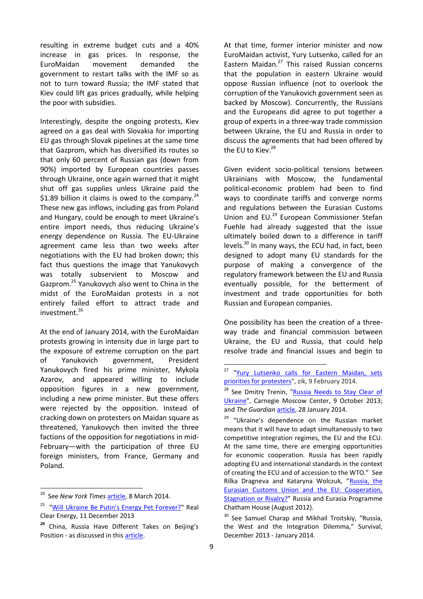resulting in extreme budget cuts and a 40% increase in gas prices. In response, the EuroMaidan movement demanded the government to restart talks with the IMF so as not to turn toward Russia; the IMF stated that Kiev could lift gas prices gradually, while helping the poor with subsidies.

Interestingly, despite the ongoing protests, Kiev agreed on a gas deal with Slovakia for importing EU gas through Slovak pipelines at the same time that Gazprom, which has diversified its routes so that only 60 percent of Russian gas (down from 90%) imported by European countries passes through Ukraine, once again warned that it might shut off gas supplies unless Ukraine paid the \$1.89 billion it claims is owed to the company. $^{24}$ These new gas inflows, including gas from Poland and Hungary, could be enough to meet Ukraine's entire import needs, thus reducing Ukraine's energy dependence on Russia. The EU-Ukraine agreement came less than two weeks after negotiations with the EU had broken down; this fact thus questions the image that Yanukovych was totally subservient to Moscow and Gazprom.<sup>25</sup> Yanukovych also went to China in the midst of the EuroMaidan protests in a not entirely failed effort to attract trade and investment.<sup>26</sup>

At the end of January 2014, with the EuroMaidan protests growing in intensity due in large part to the exposure of extreme corruption on the part of Yanukovich government, President Yanukovych fired his prime minister, Mykola Azarov, and appeared willing to include opposition figures in a new government, including a new prime minister. But these offers were rejected by the opposition. Instead of cracking down on protesters on Maidan square as threatened, Yanukovych then invited the three factions of the opposition for negotiations in mid-February—with the participation of three EU foreign ministers, from France, Germany and Poland.

**.** 

At that time, former interior minister and now EuroMaidan activist, Yury Lutsenko, called for an Eastern Maidan.<sup>27</sup> This raised Russian concerns that the population in eastern Ukraine would oppose Russian influence (not to overlook the corruption of the Yanukovich government seen as backed by Moscow). Concurrently, the Russians and the Europeans did agree to put together a group of experts in a three-way trade commission between Ukraine, the EU and Russia in order to discuss the agreements that had been offered by the EU to Kiev.<sup>28</sup>

Given evident socio-political tensions between Ukrainians with Moscow, the fundamental political-economic problem had been to find ways to coordinate tariffs and converge norms and regulations between the Eurasian Customs Union and EU.<sup>29</sup> European Commissioner Stefan Fuehle had already suggested that the issue ultimately boiled down to a difference in tariff levels.<sup>30</sup> In many ways, the ECU had, in fact, been designed to adopt many EU standards for the purpose of making a convergence of the regulatory framework between the EU and Russia eventually possible, for the betterment of investment and trade opportunities for both Russian and European companies.

One possibility has been the creation of a threeway trade and financial commission between Ukraine, the EU and Russia, that could help resolve trade and financial issues and begin to

<sup>&</sup>lt;sup>24</sup> See New York Times [article,](http://www.nytimes.com/2014/03/08/world/europe/ukraine.html?emc=edit_th_20140308&nl=todaysheadlines&nlid=32636370&_r=0) 8 March 2014.

<sup>&</sup>lt;sup>25</sup> ["Will Ukraine Be Putin's Energy Pet Forever?"](http://www.realclearenergy.org/articles/2013/12/11/will_ukraine_be_putins_energy_pet_forever_107402.html) Real Clear Energy, 11 December 2013

*<sup>26</sup>* China, Russia Have Different Takes on Beijing's Position - as discussed in this [article.](http://stream.wsj.com/story/deadly-clashes-in-ukraine/SS-2-457850/SS-2-469908/?mod=wsj_streaming_deadly-clashes-in-ukraine)

 $27$ "Yury Lutsenko calls for Eastern Maidan, sets [priorities for protesters"](http://zik.ua/en/news/2014/02/09/yury_lutsenko_calls_for_eastern_maidan_sets_priorities_for_protesters_459368), zik, 9 February 2014.

<sup>&</sup>lt;sup>28</sup> See Dmitry Trenin, "Russia Needs to Stay Clear of [Ukraine"](http://carnegie.ru/eurasiaoutlook/?fa=53848), Carnegie Moscow Center, 9 October 2013; and *The Guardian* [article,](http://www.theguardian.com/world/2014/jan/28/vladimir-putin-ukraine-crisis-eu) 28 January 2014.

 $29$  "Ukraine's dependence on the Russian market means that it will have to adapt simultaneously to two competitive integration regimes, the EU and the ECU. At the same time, there are emerging opportunities for economic cooperation. Russia has been rapidly adopting EU and international standards in the context of creating the ECU and of accession to the WTO." See Rilka Dragneva and Kataryna Wolczuk, "[Russia, the](http://www.chathamhouse.org/sites/default/files/public/Research/Russia%20and%20Eurasia/0812bp_dragnevawolczuk.pdf)  [Eurasian Customs Union and the EU: Cooperation,](http://www.chathamhouse.org/sites/default/files/public/Research/Russia%20and%20Eurasia/0812bp_dragnevawolczuk.pdf)  [Stagnation or Rivalry?](http://www.chathamhouse.org/sites/default/files/public/Research/Russia%20and%20Eurasia/0812bp_dragnevawolczuk.pdf)" Russia and Eurasia Programme Chatham House (August 2012).

<sup>&</sup>lt;sup>30</sup> See Samuel Charap and Mikhail Troitskiy, "Russia, the West and the Integration Dilemma," Survival, December 2013 - January 2014.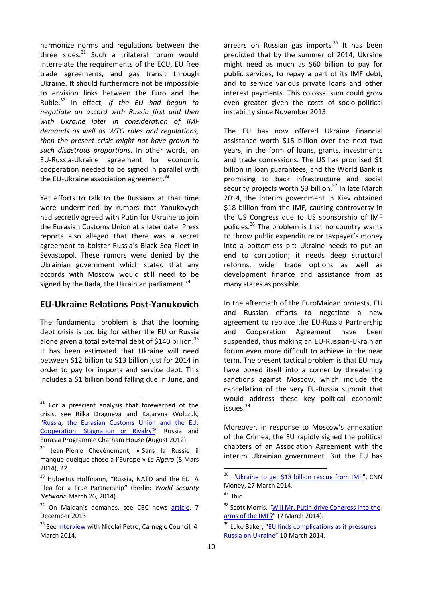harmonize norms and regulations between the three sides. $31$  Such a trilateral forum would interrelate the requirements of the ECU, EU free trade agreements, and gas transit through Ukraine. It should furthermore not be impossible to envision links between the Euro and the Ruble.<sup>32</sup> In effect, *if the EU had begun to negotiate an accord with Russia first and then with Ukraine later in consideration of IMF demands as well as WTO rules and regulations, then the present crisis might not have grown to such disastrous proportions*. In other words, an EU-Russia-Ukraine agreement for economic cooperation needed to be signed in parallel with the EU-Ukraine association agreement. $33$ 

Yet efforts to talk to the Russians at that time were undermined by rumors that Yanukovych had secretly agreed with Putin for Ukraine to join the Eurasian Customs Union at a later date. Press reports also alleged that there was a secret agreement to bolster Russia's Black Sea Fleet in Sevastopol. These rumors were denied by the Ukrainian government which stated that any accords with Moscow would still need to be signed by the Rada, the Ukrainian parliament. $34$ 

### **EU-Ukraine Relations Post-Yanukovich**

The fundamental problem is that the looming debt crisis is too big for either the EU or Russia alone given a total external debt of \$140 billion.<sup>35</sup> It has been estimated that Ukraine will need between \$12 billion to \$13 billion just for 2014 in order to pay for imports and service debt. This includes a \$1 billion bond falling due in June, and

1

arrears on Russian gas imports.<sup>36</sup> It has been predicted that by the summer of 2014, Ukraine might need as much as \$60 billion to pay for public services, to repay a part of its IMF debt, and to service various private loans and other interest payments. This colossal sum could grow even greater given the costs of socio-political instability since November 2013.

The EU has now offered Ukraine financial assistance worth \$15 billion over the next two years, in the form of loans, grants, investments and trade concessions. The US has promised \$1 billion in loan guarantees, and the World Bank is promising to back infrastructure and social security projects worth \$3 billion. $37$  In late March 2014, the interim government in Kiev obtained \$18 billion from the IMF, causing controversy in the US Congress due to US sponsorship of IMF policies.<sup>38</sup> The problem is that no country wants to throw public expenditure or taxpayer's money into a bottomless pit: Ukraine needs to put an end to corruption; it needs deep structural reforms, wider trade options as well as development finance and assistance from as many states as possible.

In the aftermath of the EuroMaidan protests, EU and Russian efforts to negotiate a new agreement to replace the EU-Russia Partnership and Cooperation Agreement have been suspended, thus making an EU-Russian-Ukrainian forum even more difficult to achieve in the near term. The present tactical problem is that EU may have boxed itself into a corner by threatening sanctions against Moscow, which include the cancellation of the very EU-Russia summit that would address these key political economic issues.<sup>39</sup>

Moreover, in response to Moscow's annexation of the Crimea, the EU rapidly signed the political chapters of an Association Agreement with the interim Ukrainian government. But the EU has

 $31$  For a prescient analysis that forewarned of the crisis, see Rilka Dragneva and Kataryna Wolczuk, "[Russia, the Eurasian Customs Union and the EU:](http://www.chathamhouse.org/sites/default/files/public/Research/Russia%20and%20Eurasia/0812bp_dragnevawolczuk.pdf)  [Cooperation, Stagnation or Rivalry?](http://www.chathamhouse.org/sites/default/files/public/Research/Russia%20and%20Eurasia/0812bp_dragnevawolczuk.pdf)" Russia and Eurasia Programme Chatham House (August 2012).

<sup>32</sup> Jean-Pierre Chevènement, « Sans la Russie il manque quelque chose à l'Europe » *Le Figaro* (8 Mars 2014), 22.

<sup>&</sup>lt;sup>33</sup> Hubertus Hoffmann, "Russia, NATO and the EU: A Plea for a True Partnership**"** (Berlin: *World Security Network*: March 26, 2014).

 $34$  On Maidan's demands, see CBC news [article,](http://www.cbc.ca/news/world/ukraine-opposition-no-talks-unless-government-fired-1.2455476) 7 December 2013.

<sup>&</sup>lt;sup>35</sup> See [interview](http://www.carnegiecouncil.org/studio/multimedia/20140304/index.html) with Nicolai Petro, Carnegie Council, 4 March 2014.

<sup>&</sup>lt;sup>36</sup> ["Ukraine to get \\$18 billion rescue from IMF"](http://money.cnn.com/2014/03/27/news/economy/ukraine-imf-bailout/), CNN Money, 27 March 2014.

 $37$  Ibid.

<sup>&</sup>lt;sup>38</sup> Scott Morris, "Will Mr. Putin drive Congress into the [arms of the IMF?](http://thehill.com/blogs/congress-blog/foreign-policy/200227-will-mr-putin-drive-congress-into-the-arms-of-the-imf)" (7 March 2014).

<sup>&</sup>lt;sup>39</sup> Luke Baker, "EU finds complications as it pressures [Russia on Ukraine](http://www.reuters.com/article/2014/03/10/us-eu-ukraine-agreement-idUSBREA291AE20140310)" 10 March 2014.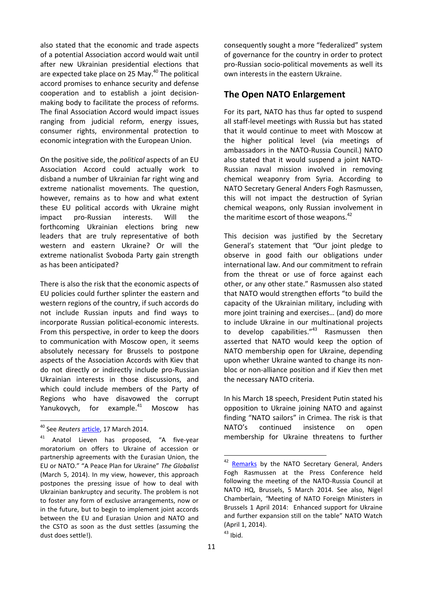also stated that the economic and trade aspects of a potential Association accord would wait until after new Ukrainian presidential elections that are expected take place on 25 May.<sup>40</sup> The political accord promises to enhance security and defense cooperation and to establish a joint decisionmaking body to facilitate the process of reforms. The final Association Accord would impact issues ranging from judicial reform, energy issues, consumer rights, environmental protection to economic integration with the European Union.

On the positive side, the *political* aspects of an EU Association Accord could actually work to disband a number of Ukrainian far right wing and extreme nationalist movements. The question, however, remains as to how and what extent these EU political accords with Ukraine might impact pro-Russian interests. Will the forthcoming Ukrainian elections bring new leaders that are truly representative of both western and eastern Ukraine? Or will the extreme nationalist Svoboda Party gain strength as has been anticipated?

There is also the risk that the economic aspects of EU policies could further splinter the eastern and western regions of the country, if such accords do not include Russian inputs and find ways to incorporate Russian political-economic interests. From this perspective, in order to keep the doors to communication with Moscow open, it seems absolutely necessary for Brussels to postpone aspects of the Association Accords with Kiev that do not directly or indirectly include pro-Russian Ukrainian interests in those discussions, and which could include members of the Party of Regions who have disavowed the corrupt Yanukovych, for example.<sup>41</sup> Moscow has

1

consequently sought a more "federalized" system of governance for the country in order to protect pro-Russian socio-political movements as well its own interests in the eastern Ukraine.

#### **The Open NATO Enlargement**

For its part, NATO has thus far opted to suspend all staff-level meetings with Russia but has stated that it would continue to meet with Moscow at the higher political level (via meetings of ambassadors in the NATO-Russia Council.) NATO also stated that it would suspend a joint NATO-Russian naval mission involved in removing chemical weaponry from Syria. According to NATO Secretary General Anders Fogh Rasmussen, this will not impact the destruction of Syrian chemical weapons, only Russian involvement in the maritime escort of those weapons. $42$ 

This decision was justified by the Secretary General's statement that *"*Our joint pledge to observe in good faith our obligations under international law. And our commitment to refrain from the threat or use of force against each other, or any other state." Rasmussen also stated that NATO would strengthen efforts "to build the capacity of the Ukrainian military, including with more joint training and exercises… (and) do more to include Ukraine in our multinational projects to develop capabilities."<sup>43</sup> Rasmussen then asserted that NATO would keep the option of NATO membership open for Ukraine, depending upon whether Ukraine wanted to change its nonbloc or non-alliance position and if Kiev then met the necessary NATO criteria.

In his March 18 speech, President Putin stated his opposition to Ukraine joining NATO and against finding "NATO sailors" in Crimea. The risk is that NATO's continued insistence on open membership for Ukraine threatens to further

<sup>40</sup> See *Reuters* [article,](http://www.reuters.com/article/2014/03/17/us-ukraine-crisis-agreement-idUSBREA2G1BC20140317) 17 March 2014.

<sup>41</sup> Anatol Lieven has proposed, "A five-year moratorium on offers to Ukraine of accession or partnership agreements with the Eurasian Union, the EU or NATO." "A Peace Plan for Ukraine" *The Globalist* (March 5, 2014). In my view, however, this approach postpones the pressing issue of how to deal with Ukrainian bankruptcy and security. The problem is not to foster any form of exclusive arrangements, now or in the future, but to begin to implement joint accords between the EU and Eurasian Union and NATO and the CSTO as soon as the dust settles (assuming the dust does settle!).

<sup>&</sup>lt;sup>42</sup> [Remarks](http://www.nato.int/cps/en/natolive/opinions_107743.htm) by the NATO Secretary General, Anders Fogh Rasmussen at the Press Conference held following the meeting of the NATO-Russia Council at NATO HQ, Brussels, 5 March 2014. See also, Nigel Chamberlain, *"*Meeting of NATO Foreign Ministers in Brussels 1 April 2014: Enhanced support for Ukraine and further expansion still on the table" NATO Watch (April 1, 2014).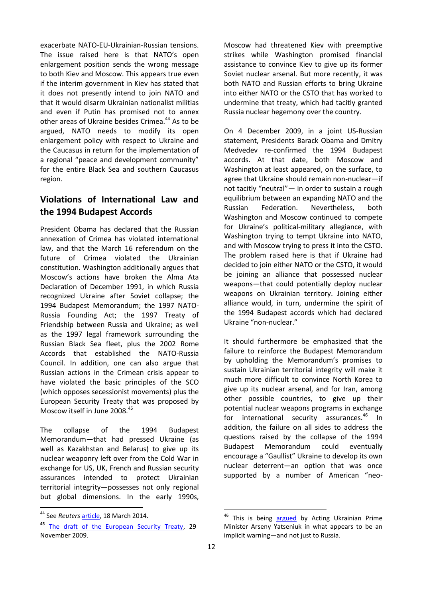exacerbate NATO-EU-Ukrainian-Russian tensions. The issue raised here is that NATO's open enlargement position sends the wrong message to both Kiev and Moscow. This appears true even if the interim government in Kiev has stated that it does not presently intend to join NATO and that it would disarm Ukrainian nationalist militias and even if Putin has promised not to annex other areas of Ukraine besides Crimea.<sup>44</sup> As to be argued, NATO needs to modify its open enlargement policy with respect to Ukraine and the Caucasus in return for the implementation of a regional "peace and development community" for the entire Black Sea and southern Caucasus region.

# **Violations of International Law and the 1994 Budapest Accords**

President Obama has declared that the Russian annexation of Crimea has violated international law, and that the March 16 referendum on the future of Crimea violated the Ukrainian constitution. Washington additionally argues that Moscow's actions have broken the Alma Ata Declaration of December 1991, in which Russia recognized Ukraine after Soviet collapse; the 1994 Budapest Memorandum; the 1997 NATO-Russia Founding Act; the 1997 Treaty of Friendship between Russia and Ukraine; as well as the 1997 legal framework surrounding the Russian Black Sea fleet, plus the 2002 Rome Accords that established the NATO-Russia Council. In addition, one can also argue that Russian actions in the Crimean crisis appear to have violated the basic principles of the SCO (which opposes secessionist movements) plus the European Security Treaty that was proposed by Moscow itself in June 2008.<sup>45</sup>

The collapse of the 1994 Budapest Memorandum—that had pressed Ukraine (as well as Kazakhstan and Belarus) to give up its nuclear weaponry left over from the Cold War in exchange for US, UK, French and Russian security assurances intended to protect Ukrainian territorial integrity—possesses not only regional but global dimensions. In the early 1990s,

**.** 

Moscow had threatened Kiev with preemptive strikes while Washington promised financial assistance to convince Kiev to give up its former Soviet nuclear arsenal. But more recently, it was both NATO and Russian efforts to bring Ukraine into either NATO or the CSTO that has worked to undermine that treaty, which had tacitly granted Russia nuclear hegemony over the country.

On 4 December 2009, in a joint US-Russian statement, Presidents Barack Obama and Dmitry Medvedev re-confirmed the 1994 Budapest accords. At that date, both Moscow and Washington at least appeared, on the surface, to agree that Ukraine should remain non-nuclear—if not tacitly "neutral"— in order to sustain a rough equilibrium between an expanding NATO and the Russian Federation. Nevertheless, both Washington and Moscow continued to compete for Ukraine's political-military allegiance, with Washington trying to tempt Ukraine into NATO, and with Moscow trying to press it into the CSTO. The problem raised here is that if Ukraine had decided to join either NATO or the CSTO, it would be joining an alliance that possessed nuclear weapons—that could potentially deploy nuclear weapons on Ukrainian territory. Joining either alliance would, in turn, undermine the spirit of the 1994 Budapest accords which had declared Ukraine "non-nuclear."

It should furthermore be emphasized that the failure to reinforce the Budapest Memorandum by upholding the Memorandum's promises to sustain Ukrainian territorial integrity will make it much more difficult to convince North Korea to give up its nuclear arsenal, and for Iran, among other possible countries, to give up their potential nuclear weapons programs in exchange for international security assurances.<sup>46</sup> In addition, the failure on all sides to address the questions raised by the collapse of the 1994 Budapest Memorandum could eventually encourage a "Gaullist" Ukraine to develop its own nuclear deterrent—an option that was once supported by a number of American "neo-

<sup>44</sup> See *Reuters* [article,](http://uk.reuters.com/article/2014/03/18/uk-ukraine-idUKBREA1H0EM20140318) 18 March 2014.

**<sup>45</sup>** [The draft of the European Security Treaty,](http://eng.kremlin.ru/news/275) 29 November 2009.

This is being [argued](http://www.reuters.com/article/2014/03/11/us-ukraine-crisis-idUSBREA1Q1E820140311) by Acting Ukrainian Prime Minister Arseny Yatseniuk in what appears to be an implicit warning—and not just to Russia.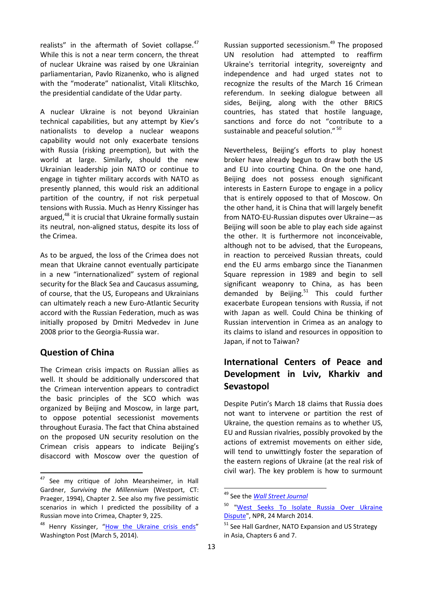realists" in the aftermath of Soviet collapse.<sup>47</sup> While this is not a near term concern, the threat of nuclear Ukraine was raised by one Ukrainian parliamentarian, Pavlo Rizanenko, who is aligned with the "moderate" nationalist, Vitali Klitschko, the presidential candidate of the Udar party.

A nuclear Ukraine is not beyond Ukrainian technical capabilities, but any attempt by Kiev's nationalists to develop a nuclear weapons capability would not only exacerbate tensions with Russia (risking preemption), but with the world at large. Similarly, should the new Ukrainian leadership join NATO or continue to engage in tighter military accords with NATO as presently planned, this would risk an additional partition of the country, if not risk perpetual tensions with Russia. Much as Henry Kissinger has argued,<sup>48</sup> it is crucial that Ukraine formally sustain its neutral, non-aligned status, despite its loss of the Crimea.

As to be argued, the loss of the Crimea does not mean that Ukraine cannot eventually participate in a new "internationalized" system of regional security for the Black Sea and Caucasus assuming, of course, that the US, Europeans and Ukrainians can ultimately reach a new Euro-Atlantic Security accord with the Russian Federation, much as was initially proposed by Dmitri Medvedev in June 2008 prior to the Georgia-Russia war.

#### **Question of China**

**.** 

The Crimean crisis impacts on Russian allies as well. It should be additionally underscored that the Crimean intervention appears to contradict the basic principles of the SCO which was organized by Beijing and Moscow, in large part, to oppose potential secessionist movements throughout Eurasia. The fact that China abstained on the proposed UN security resolution on the Crimean crisis appears to indicate Beijing's disaccord with Moscow over the question of Russian supported secessionism.<sup>49</sup> The proposed UN resolution had attempted to reaffirm Ukraine's territorial integrity, sovereignty and independence and had urged states not to recognize the results of the March 16 Crimean referendum. In seeking dialogue between all sides, Beijing, along with the other BRICS countries, has stated that hostile language, sanctions and force do not "contribute to a sustainable and peaceful solution." 50

Nevertheless, Beijing's efforts to play honest broker have already begun to draw both the US and EU into courting China. On the one hand, Beijing does not possess enough significant interests in Eastern Europe to engage in a policy that is entirely opposed to that of Moscow. On the other hand, it is China that will largely benefit from NATO-EU-Russian disputes over Ukraine—as Beijing will soon be able to play each side against the other. It is furthermore not inconceivable, although not to be advised, that the Europeans, in reaction to perceived Russian threats, could end the EU arms embargo since the Tiananmen Square repression in 1989 and begin to sell significant weaponry to China, as has been demanded by Beijing. $51$  This could further exacerbate European tensions with Russia, if not with Japan as well. Could China be thinking of Russian intervention in Crimea as an analogy to its claims to island and resources in opposition to Japan, if not to Taiwan?

# **International Centers of Peace and Development in Lviv, Kharkiv and Sevastopol**

Despite Putin's March 18 claims that Russia does not want to intervene or partition the rest of Ukraine, the question remains as to whether US, EU and Russian rivalries, possibly provoked by the actions of extremist movements on either side, will tend to unwittingly foster the separation of the eastern regions of Ukraine (at the real risk of civil war). The key problem is how to surmount

<sup>&</sup>lt;sup>47</sup> See my critique of John Mearsheimer, in Hall Gardner, *Surviving the Millennium* (Westport, CT: Praeger, 1994), Chapter 2. See also my five pessimistic scenarios in which I predicted the possibility of a Russian move into Crimea, Chapter 9, 225.

<sup>&</sup>lt;sup>48</sup> Henry Kissinger, "[How the Ukraine crisis ends](http://www.washingtonpost.com/opinions/henry-kissinger-to-settle-the-ukraine-crisis-start-at-the-end/2014/03/05/46dad868-a496-11e3-8466-d34c451760b9_story.html)" Washington Post (March 5, 2014).

<sup>49</sup> See the *[Wall Street Journal](http://stream.wsj.com/story/deadly-clashes-in-ukraine/SS-2-457850/SS-2-469908/?mod=wsj_streaming_deadly-clashes-in-ukraine)*

<sup>&</sup>lt;sup>50</sup> "West Seeks To Isolate Russia Over Ukraine [Dispute"](http://www.npr.org/templates/story/story.php?storyId=293849261), NPR, 24 March 2014.

<sup>&</sup>lt;sup>51</sup> See Hall Gardner, NATO Expansion and US Strategy in Asia, Chapters 6 and 7.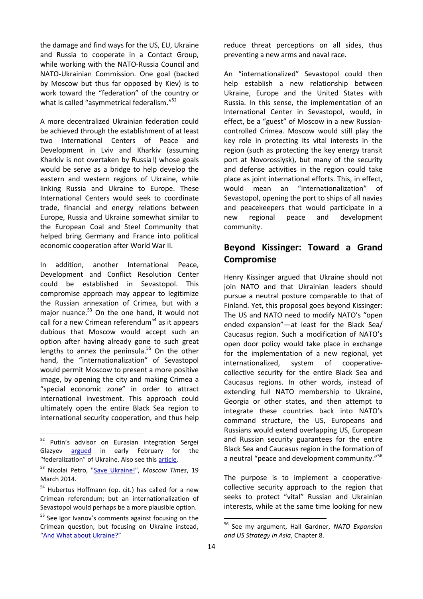the damage and find ways for the US, EU, Ukraine and Russia to cooperate in a Contact Group, while working with the NATO-Russia Council and NATO-Ukrainian Commission. One goal (backed by Moscow but thus far opposed by Kiev) is to work toward the "federation" of the country or what is called "asymmetrical federalism."<sup>52</sup>

A more decentralized Ukrainian federation could be achieved through the establishment of at least two International Centers of Peace and Development in Lviv and Kharkiv (assuming Kharkiv is not overtaken by Russia!) whose goals would be serve as a bridge to help develop the eastern and western regions of Ukraine, while linking Russia and Ukraine to Europe. These International Centers would seek to coordinate trade, financial and energy relations between Europe, Russia and Ukraine somewhat similar to the European Coal and Steel Community that helped bring Germany and France into political economic cooperation after World War II.

In addition, another International Peace, Development and Conflict Resolution Center could be established in Sevastopol. This compromise approach may appear to legitimize the Russian annexation of Crimea, but with a major nuance.<sup>53</sup> On the one hand, it would not call for a new Crimean referendum<sup>54</sup> as it appears dubious that Moscow would accept such an option after having already gone to such great lengths to annex the peninsula.<sup>55</sup> On the other hand, the "internationalization" of Sevastopol would permit Moscow to present a more positive image, by opening the city and making Crimea a "special economic zone" in order to attract international investment. This approach could ultimately open the entire Black Sea region to international security cooperation, and thus help

**.** 

reduce threat perceptions on all sides, thus preventing a new arms and naval race.

An "internationalized" Sevastopol could then help establish a new relationship between Ukraine, Europe and the United States with Russia. In this sense, the implementation of an International Center in Sevastopol, would, in effect, be a "guest" of Moscow in a new Russiancontrolled Crimea. Moscow would still play the key role in protecting its vital interests in the region (such as protecting the key energy transit port at Novorossiysk), but many of the security and defense activities in the region could take place as joint international efforts. This, in effect, would mean an "internationalization" of Sevastopol, opening the port to ships of all navies and peacekeepers that would participate in a new regional peace and development community.

## **Beyond Kissinger: Toward a Grand Compromise**

Henry Kissinger argued that Ukraine should not join NATO and that Ukrainian leaders should pursue a neutral posture comparable to that of Finland. Yet, this proposal goes beyond Kissinger: The US and NATO need to modify NATO's "open ended expansion"—at least for the Black Sea/ Caucasus region. Such a modification of NATO's open door policy would take place in exchange for the implementation of a new regional, yet internationalized, system of cooperativecollective security for the entire Black Sea and Caucasus regions. In other words, instead of extending full NATO membership to Ukraine, Georgia or other states, and then attempt to integrate these countries back into NATO's command structure, the US, Europeans and Russians would extend overlapping US, European and Russian security guarantees for the entire Black Sea and Caucasus region in the formation of a neutral "peace and development community."<sup>56</sup>

The purpose is to implement a cooperativecollective security approach to the region that seeks to protect "vital" Russian and Ukrainian interests, while at the same time looking for new

<sup>&</sup>lt;sup>52</sup> Putin's advisor on Eurasian integration Sergei Glazyev [argued](http://ecfr.eu/blog/entry/crimea_what_does_putin_want#sthash.0vt9fYP6.dpuf) in early February for the "federalization" of Ukraine. Also see this [article.](http://www.stefanwolff.com/files/FedMold.pdf)

<sup>53</sup> Nicolai Petro, ["Save Ukraine!"](http://www.themoscowtimes.com/opinion/article/save-ukraine/496444.html), *Moscow Times*, 19 March 2014.

<sup>&</sup>lt;sup>54</sup> Hubertus Hoffmann (op. cit.) has called for a new Crimean referendum; but an internationalization of Sevastopol would perhaps be a more plausible option.

<sup>&</sup>lt;sup>55</sup> See Igor Ivanov's comments against focusing on the Crimean question, but focusing on Ukraine instead, "[And What about Ukraine?](http://russiancouncil.ru/en/inner/?id_4=3390&active_id_11=37#top)"

<sup>56</sup> See my argument, Hall Gardner, *NATO Expansion and US Strategy in Asia*, Chapter 8.